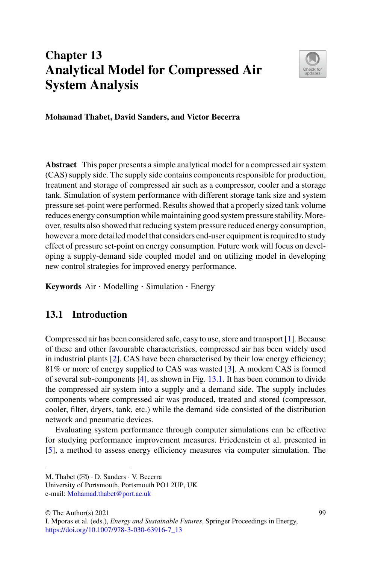# **Chapter 13 Analytical Model for Compressed Air System Analysis**



**Mohamad Thabet, David Sanders, and Victor Becerra**

**Abstract** This paper presents a simple analytical model for a compressed air system (CAS) supply side. The supply side contains components responsible for production, treatment and storage of compressed air such as a compressor, cooler and a storage tank. Simulation of system performance with different storage tank size and system pressure set-point were performed. Results showed that a properly sized tank volume reduces energy consumption while maintaining good system pressure stability. Moreover, results also showed that reducing system pressure reduced energy consumption, however a more detailed model that considers end-user equipment is required to study effect of pressure set-point on energy consumption. Future work will focus on developing a supply-demand side coupled model and on utilizing model in developing new control strategies for improved energy performance.

**Keywords** Air · Modelling · Simulation · Energy

## **13.1 Introduction**

Compressed air has been considered safe, easy to use, store and transport [\[1\]](#page-5-0). Because of these and other favourable characteristics, compressed air has been widely used in industrial plants [\[2\]](#page-5-1). CAS have been characterised by their low energy efficiency; 81% or more of energy supplied to CAS was wasted [\[3\]](#page-5-2). A modern CAS is formed of several sub-components  $[4]$ , as shown in Fig. [13.1.](#page-1-0) It has been common to divide the compressed air system into a supply and a demand side. The supply includes components where compressed air was produced, treated and stored (compressor, cooler, filter, dryers, tank, etc.) while the demand side consisted of the distribution network and pneumatic devices.

Evaluating system performance through computer simulations can be effective for studying performance improvement measures. Friedenstein et al. presented in [\[5\]](#page-5-4), a method to assess energy efficiency measures via computer simulation. The

M. Thabet (B) · D. Sanders · V. Becerra

University of Portsmouth, Portsmouth PO1 2UP, UK e-mail: [Mohamad.thabet@port.ac.uk](mailto:Mohamad.thabet@port.ac.uk)

<sup>©</sup> The Author(s) 2021

I. Mporas et al. (eds.), *Energy and Sustainable Futures*, Springer Proceedings in Energy, [https://doi.org/10.1007/978-3-030-63916-7\\_13](https://doi.org/10.1007/978-3-030-63916-7_13)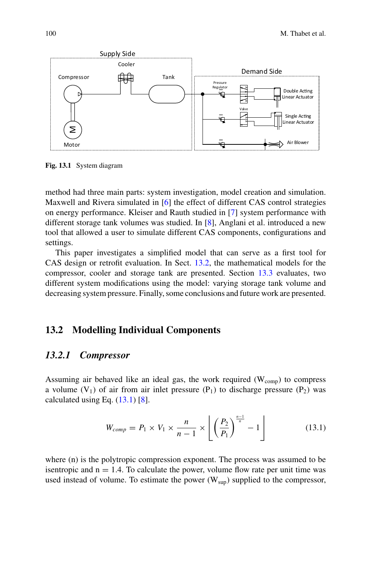

<span id="page-1-0"></span>**Fig. 13.1** System diagram

method had three main parts: system investigation, model creation and simulation. Maxwell and Rivera simulated in [\[6\]](#page-5-5) the effect of different CAS control strategies on energy performance. Kleiser and Rauth studied in [\[7\]](#page-5-6) system performance with different storage tank volumes was studied. In [\[8\]](#page-5-7), Anglani et al. introduced a new tool that allowed a user to simulate different CAS components, configurations and settings.

This paper investigates a simplified model that can serve as a first tool for CAS design or retrofit evaluation. In Sect. [13.2,](#page-1-1) the mathematical models for the compressor, cooler and storage tank are presented. Section [13.3](#page-2-0) evaluates, two different system modifications using the model: varying storage tank volume and decreasing system pressure. Finally, some conclusions and future work are presented.

#### <span id="page-1-1"></span>**13.2 Modelling Individual Components**

#### *13.2.1 Compressor*

Assuming air behaved like an ideal gas, the work required  $(W_{\text{conn}})$  to compress a volume  $(V_1)$  of air from air inlet pressure  $(P_1)$  to discharge pressure  $(P_2)$  was calculated using Eq.  $(13.1)$  [\[8\]](#page-5-7).

<span id="page-1-2"></span>
$$
W_{comp} = P_1 \times V_1 \times \frac{n}{n-1} \times \left[ \left( \frac{P_2}{P_1} \right)^{\frac{n-1}{n}} - 1 \right]
$$
 (13.1)

where (n) is the polytropic compression exponent. The process was assumed to be isentropic and  $n = 1.4$ . To calculate the power, volume flow rate per unit time was used instead of volume. To estimate the power  $(W_{\text{sup}})$  supplied to the compressor,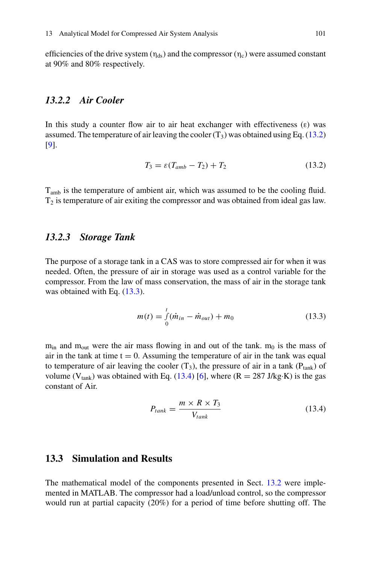efficiencies of the drive system ( $\eta_{ds}$ ) and the compressor ( $\eta_c$ ) were assumed constant at 90% and 80% respectively.

# *13.2.2 Air Cooler*

In this study a counter flow air to air heat exchanger with effectiveness  $(\epsilon)$  was assumed. The temperature of air leaving the cooler  $(T_3)$  was obtained using Eq. [\(13.2\)](#page-2-1) [\[9\]](#page-5-8).

<span id="page-2-1"></span>
$$
T_3 = \varepsilon (T_{amb} - T_2) + T_2 \tag{13.2}
$$

Tamb is the temperature of ambient air, which was assumed to be the cooling fluid.  $T<sub>2</sub>$  is temperature of air exiting the compressor and was obtained from ideal gas law.

#### *13.2.3 Storage Tank*

The purpose of a storage tank in a CAS was to store compressed air for when it was needed. Often, the pressure of air in storage was used as a control variable for the compressor. From the law of mass conservation, the mass of air in the storage tank was obtained with Eq.  $(13.3)$ .

<span id="page-2-2"></span>
$$
m(t) = \int_{0}^{t} (\dot{m}_{in} - \dot{m}_{out}) + m_0
$$
 (13.3)

 $m_{in}$  and  $m_{out}$  were the air mass flowing in and out of the tank.  $m_0$  is the mass of air in the tank at time  $t = 0$ . Assuming the temperature of air in the tank was equal to temperature of air leaving the cooler  $(T_3)$ , the pressure of air in a tank  $(P_{\text{tank}})$  of volume ( $V_{\text{tank}}$ ) was obtained with Eq. [\(13.4\)](#page-2-3) [\[6\]](#page-5-5), where ( $R = 287$  J/kg·K) is the gas constant of Air.

<span id="page-2-3"></span>
$$
P_{tank} = \frac{m \times R \times T_3}{V_{tank}}
$$
 (13.4)

## <span id="page-2-0"></span>**13.3 Simulation and Results**

The mathematical model of the components presented in Sect. [13.2](#page-1-1) were implemented in MATLAB. The compressor had a load/unload control, so the compressor would run at partial capacity (20%) for a period of time before shutting off. The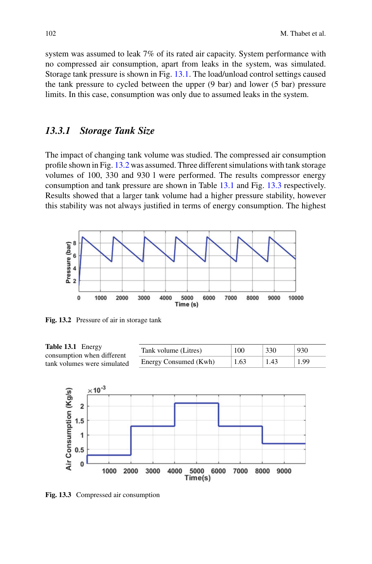system was assumed to leak 7% of its rated air capacity. System performance with no compressed air consumption, apart from leaks in the system, was simulated. Storage tank pressure is shown in Fig. [13.1.](#page-1-0) The load/unload control settings caused the tank pressure to cycled between the upper (9 bar) and lower (5 bar) pressure limits. In this case, consumption was only due to assumed leaks in the system.

## *13.3.1 Storage Tank Size*

The impact of changing tank volume was studied. The compressed air consumption profile shown in Fig. [13.2](#page-3-0) was assumed. Three different simulations with tank storage volumes of 100, 330 and 930 l were performed. The results compressor energy consumption and tank pressure are shown in Table [13.1](#page-3-1) and Fig. [13.3](#page-3-2) respectively. Results showed that a larger tank volume had a higher pressure stability, however this stability was not always justified in terms of energy consumption. The highest



<span id="page-3-0"></span>**Fig. 13.2** Pressure of air in storage tank

<span id="page-3-1"></span>

<span id="page-3-2"></span>**Fig. 13.3** Compressed air consumption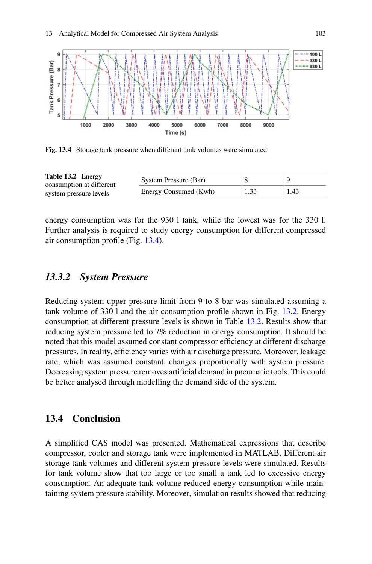

<span id="page-4-0"></span>**Fig. 13.4** Storage tank pressure when different tank volumes were simulated

<span id="page-4-1"></span>

| Table 13.2 Energy<br>consumption at different<br>system pressure levels | System Pressure (Bar) |      |      |
|-------------------------------------------------------------------------|-----------------------|------|------|
|                                                                         | Energy Consumed (Kwh) | 1.33 | 1.43 |

energy consumption was for the 930 l tank, while the lowest was for the 330 l. Further analysis is required to study energy consumption for different compressed air consumption profile (Fig. [13.4\)](#page-4-0).

#### *13.3.2 System Pressure*

Reducing system upper pressure limit from 9 to 8 bar was simulated assuming a tank volume of 330 l and the air consumption profile shown in Fig. [13.2.](#page-3-0) Energy consumption at different pressure levels is shown in Table [13.2.](#page-4-1) Results show that reducing system pressure led to 7% reduction in energy consumption. It should be noted that this model assumed constant compressor efficiency at different discharge pressures. In reality, efficiency varies with air discharge pressure. Moreover, leakage rate, which was assumed constant, changes proportionally with system pressure. Decreasing system pressure removes artificial demand in pneumatic tools. This could be better analysed through modelling the demand side of the system.

#### **13.4 Conclusion**

A simplified CAS model was presented. Mathematical expressions that describe compressor, cooler and storage tank were implemented in MATLAB. Different air storage tank volumes and different system pressure levels were simulated. Results for tank volume show that too large or too small a tank led to excessive energy consumption. An adequate tank volume reduced energy consumption while maintaining system pressure stability. Moreover, simulation results showed that reducing